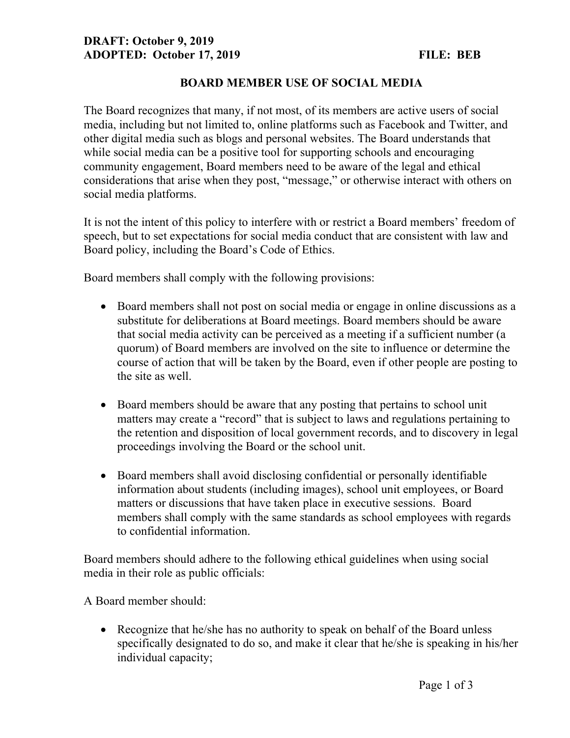## DRAFT: October 9, 2019 ADOPTED: October 17, 2019 FILE: BEB

## BOARD MEMBER USE OF SOCIAL MEDIA

The Board recognizes that many, if not most, of its members are active users of social media, including but not limited to, online platforms such as Facebook and Twitter, and other digital media such as blogs and personal websites. The Board understands that while social media can be a positive tool for supporting schools and encouraging community engagement, Board members need to be aware of the legal and ethical considerations that arise when they post, "message," or otherwise interact with others on social media platforms.

It is not the intent of this policy to interfere with or restrict a Board members' freedom of speech, but to set expectations for social media conduct that are consistent with law and Board policy, including the Board's Code of Ethics.

Board members shall comply with the following provisions:

- Board members shall not post on social media or engage in online discussions as a substitute for deliberations at Board meetings. Board members should be aware that social media activity can be perceived as a meeting if a sufficient number (a quorum) of Board members are involved on the site to influence or determine the course of action that will be taken by the Board, even if other people are posting to the site as well.
- Board members should be aware that any posting that pertains to school unit matters may create a "record" that is subject to laws and regulations pertaining to the retention and disposition of local government records, and to discovery in legal proceedings involving the Board or the school unit.
- Board members shall avoid disclosing confidential or personally identifiable information about students (including images), school unit employees, or Board matters or discussions that have taken place in executive sessions. Board members shall comply with the same standards as school employees with regards to confidential information.

Board members should adhere to the following ethical guidelines when using social media in their role as public officials:

A Board member should:

• Recognize that he/she has no authority to speak on behalf of the Board unless specifically designated to do so, and make it clear that he/she is speaking in his/her individual capacity;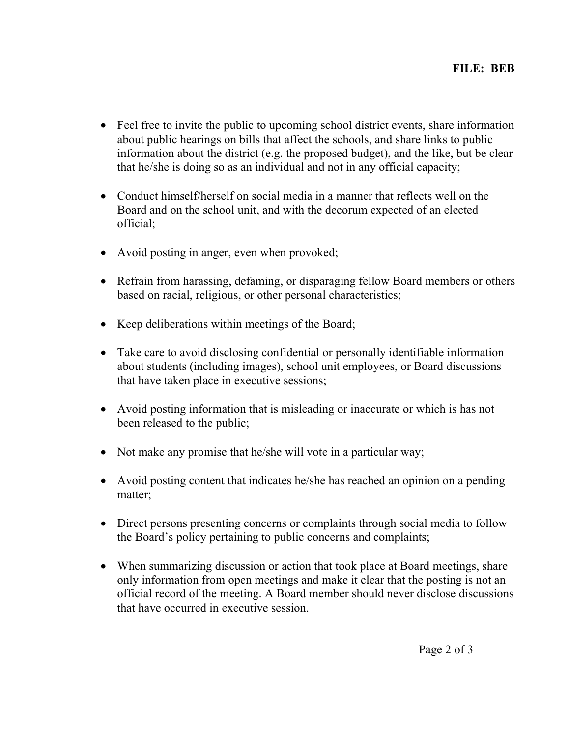- Feel free to invite the public to upcoming school district events, share information about public hearings on bills that affect the schools, and share links to public information about the district (e.g. the proposed budget), and the like, but be clear that he/she is doing so as an individual and not in any official capacity;
- Conduct himself/herself on social media in a manner that reflects well on the Board and on the school unit, and with the decorum expected of an elected official;
- Avoid posting in anger, even when provoked;
- Refrain from harassing, defaming, or disparaging fellow Board members or others based on racial, religious, or other personal characteristics;
- Keep deliberations within meetings of the Board;
- Take care to avoid disclosing confidential or personally identifiable information about students (including images), school unit employees, or Board discussions that have taken place in executive sessions;
- Avoid posting information that is misleading or inaccurate or which is has not been released to the public;
- Not make any promise that he/she will vote in a particular way;
- Avoid posting content that indicates he/she has reached an opinion on a pending matter;
- Direct persons presenting concerns or complaints through social media to follow the Board's policy pertaining to public concerns and complaints;
- When summarizing discussion or action that took place at Board meetings, share only information from open meetings and make it clear that the posting is not an official record of the meeting. A Board member should never disclose discussions that have occurred in executive session.